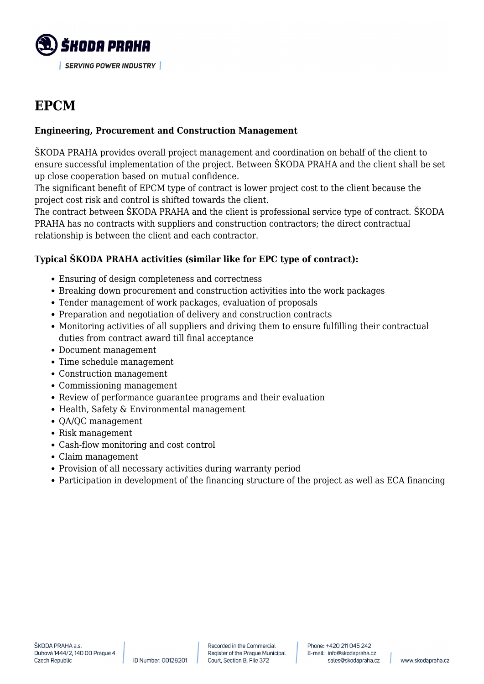

# **EPCM**

#### **Engineering, Procurement and Construction Management**

SKODA PRAHA provides overall project management and coordination on behalf of the client to ensure successful implementation of the project. Between ŠKODA PRAHA and the client shall be set up close cooperation based on mutual confidence.

The significant benefit of EPCM type of contract is lower project cost to the client because the project cost risk and control is shifted towards the client.

The contract between ŠKODA PRAHA and the client is professional service type of contract. ŠKODA PRAHA has no contracts with suppliers and construction contractors; the direct contractual relationship is between the client and each contractor.

### **Typical ŠKODA PRAHA activities (similar like for EPC type of contract):**

- Ensuring of design completeness and correctness
- Breaking down procurement and construction activities into the work packages
- Tender management of work packages, evaluation of proposals
- Preparation and negotiation of delivery and construction contracts
- Monitoring activities of all suppliers and driving them to ensure fulfilling their contractual duties from contract award till final acceptance
- Document management
- Time schedule management
- Construction management
- Commissioning management
- Review of performance guarantee programs and their evaluation
- Health, Safety & Environmental management
- QA/QC management
- Risk management
- Cash-flow monitoring and cost control
- Claim management
- Provision of all necessary activities during warranty period
- Participation in development of the financing structure of the project as well as ECA financing